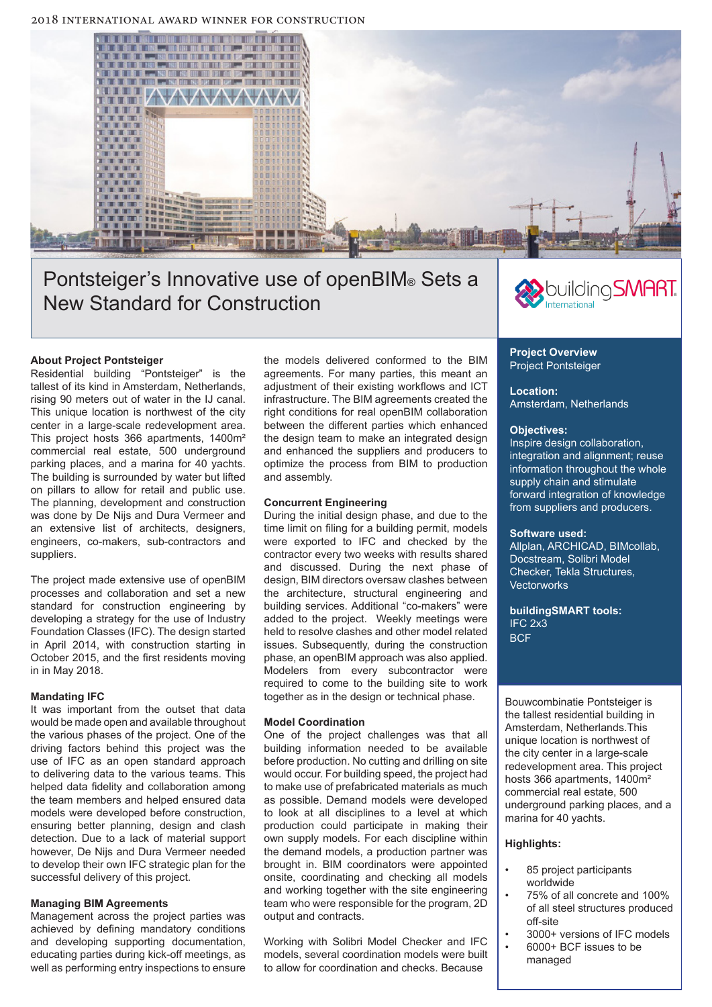

# Pontsteiger's Innovative use of openBIM® Sets a New Standard for Construction



# **About Project Pontsteiger**

Residential building "Pontsteiger" is the tallest of its kind in Amsterdam, Netherlands, rising 90 meters out of water in the IJ canal. This unique location is northwest of the city center in a large-scale redevelopment area. This project hosts 366 apartments, 1400m² commercial real estate, 500 underground parking places, and a marina for 40 yachts. The building is surrounded by water but lifted on pillars to allow for retail and public use. The planning, development and construction was done by De Nijs and Dura Vermeer and an extensive list of architects, designers, engineers, co-makers, sub-contractors and suppliers.

The project made extensive use of openBIM processes and collaboration and set a new standard for construction engineering by developing a strategy for the use of Industry Foundation Classes (IFC). The design started in April 2014, with construction starting in October 2015, and the first residents moving in in May 2018.

# **Mandating IFC**

It was important from the outset that data would be made open and available throughout the various phases of the project. One of the driving factors behind this project was the use of IFC as an open standard approach to delivering data to the various teams. This helped data fidelity and collaboration among the team members and helped ensured data models were developed before construction, ensuring better planning, design and clash detection. Due to a lack of material support however, De Nijs and Dura Vermeer needed to develop their own IFC strategic plan for the successful delivery of this project.

# **Managing BIM Agreements**

Management across the project parties was achieved by defining mandatory conditions and developing supporting documentation, educating parties during kick-off meetings, as well as performing entry inspections to ensure

the models delivered conformed to the BIM agreements. For many parties, this meant an adjustment of their existing workflows and ICT infrastructure. The BIM agreements created the right conditions for real openBIM collaboration between the different parties which enhanced the design team to make an integrated design and enhanced the suppliers and producers to optimize the process from BIM to production and assembly.

### **Concurrent Engineering**

During the initial design phase, and due to the time limit on filing for a building permit, models were exported to IFC and checked by the contractor every two weeks with results shared and discussed. During the next phase of design, BIM directors oversaw clashes between the architecture, structural engineering and building services. Additional "co-makers" were added to the project. Weekly meetings were held to resolve clashes and other model related issues. Subsequently, during the construction phase, an openBIM approach was also applied. Modelers from every subcontractor were required to come to the building site to work together as in the design or technical phase.

#### **Model Coordination**

One of the project challenges was that all building information needed to be available before production. No cutting and drilling on site would occur. For building speed, the project had to make use of prefabricated materials as much as possible. Demand models were developed to look at all disciplines to a level at which production could participate in making their own supply models. For each discipline within the demand models, a production partner was brought in. BIM coordinators were appointed onsite, coordinating and checking all models and working together with the site engineering team who were responsible for the program, 2D output and contracts.

Working with Solibri Model Checker and IFC models, several coordination models were built to allow for coordination and checks. Because

#### **Project Overview** Project Pontsteiger

#### **Location:**  Amsterdam, Netherlands

#### **Objectives:**

Inspire design collaboration, integration and alignment; reuse information throughout the whole supply chain and stimulate forward integration of knowledge from suppliers and producers.

#### **Software used:**

Allplan, ARCHICAD, BIMcollab, Docstream, Solibri Model Checker, Tekla Structures, **Vectorworks** 

**buildingSMART tools:** IFC 2x3 **BCF** 

Bouwcombinatie Pontsteiger is the tallest residential building in Amsterdam, Netherlands.This unique location is northwest of the city center in a large-scale redevelopment area. This project hosts 366 apartments, 1400m² commercial real estate, 500 underground parking places, and a marina for 40 yachts.

# **Highlights:**

- 85 project participants worldwide
- 75% of all concrete and 100% of all steel structures produced off-site
- 3000+ versions of IFC models
- 6000+ BCF issues to be managed